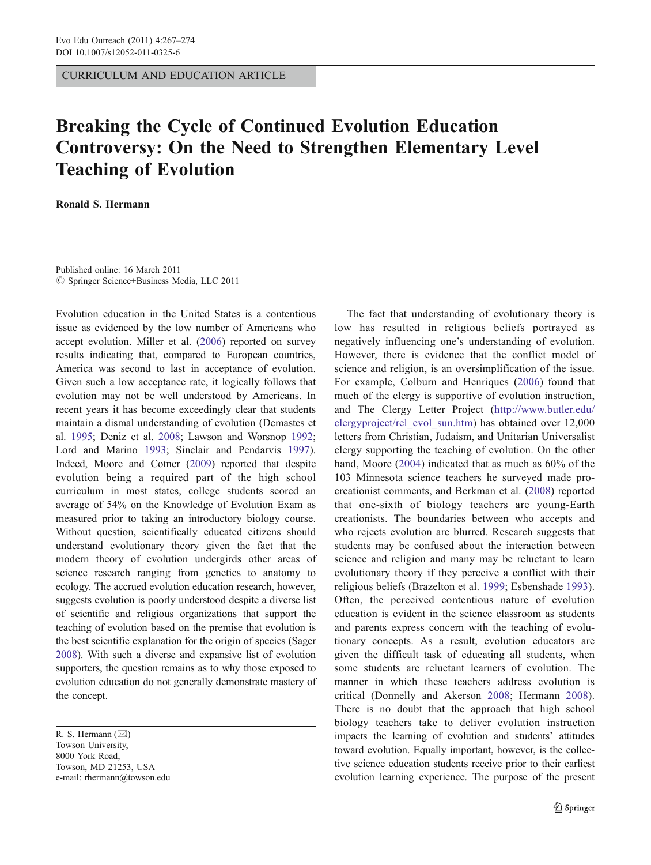CURRICULUM AND EDUCATION ARTICLE

# Breaking the Cycle of Continued Evolution Education Controversy: On the Need to Strengthen Elementary Level Teaching of Evolution

Ronald S. Hermann

Published online: 16 March 2011  $©$  Springer Science+Business Media, LLC 2011

Evolution education in the United States is a contentious issue as evidenced by the low number of Americans who accept evolution. Miller et al. [\(2006](#page-7-0)) reported on survey results indicating that, compared to European countries, America was second to last in acceptance of evolution. Given such a low acceptance rate, it logically follows that evolution may not be well understood by Americans. In recent years it has become exceedingly clear that students maintain a dismal understanding of evolution (Demastes et al. [1995;](#page-6-0) Deniz et al. [2008](#page-6-0); Lawson and Worsnop [1992](#page-7-0); Lord and Marino [1993](#page-7-0); Sinclair and Pendarvis [1997](#page-7-0)). Indeed, Moore and Cotner ([2009\)](#page-7-0) reported that despite evolution being a required part of the high school curriculum in most states, college students scored an average of 54% on the Knowledge of Evolution Exam as measured prior to taking an introductory biology course. Without question, scientifically educated citizens should understand evolutionary theory given the fact that the modern theory of evolution undergirds other areas of science research ranging from genetics to anatomy to ecology. The accrued evolution education research, however, suggests evolution is poorly understood despite a diverse list of scientific and religious organizations that support the teaching of evolution based on the premise that evolution is the best scientific explanation for the origin of species (Sager [2008\)](#page-7-0). With such a diverse and expansive list of evolution supporters, the question remains as to why those exposed to evolution education do not generally demonstrate mastery of the concept.

The fact that understanding of evolutionary theory is low has resulted in religious beliefs portrayed as negatively influencing one's understanding of evolution. However, there is evidence that the conflict model of science and religion, is an oversimplification of the issue. For example, Colburn and Henriques ([2006](#page-6-0)) found that much of the clergy is supportive of evolution instruction, and The Clergy Letter Project [\(http://www.butler.edu/](http://www.butler.edu/clergyproject/rel_evol_sun.htm) [clergyproject/rel\\_evol\\_sun.htm\)](http://www.butler.edu/clergyproject/rel_evol_sun.htm) has obtained over 12,000 letters from Christian, Judaism, and Unitarian Universalist clergy supporting the teaching of evolution. On the other hand, Moore ([2004](#page-7-0)) indicated that as much as 60% of the 103 Minnesota science teachers he surveyed made procreationist comments, and Berkman et al. ([2008](#page-6-0)) reported that one-sixth of biology teachers are young-Earth creationists. The boundaries between who accepts and who rejects evolution are blurred. Research suggests that students may be confused about the interaction between science and religion and many may be reluctant to learn evolutionary theory if they perceive a conflict with their religious beliefs (Brazelton et al. [1999](#page-6-0); Esbenshade [1993](#page-6-0)). Often, the perceived contentious nature of evolution education is evident in the science classroom as students and parents express concern with the teaching of evolutionary concepts. As a result, evolution educators are given the difficult task of educating all students, when some students are reluctant learners of evolution. The manner in which these teachers address evolution is critical (Donnelly and Akerson [2008;](#page-6-0) Hermann [2008](#page-7-0)). There is no doubt that the approach that high school biology teachers take to deliver evolution instruction impacts the learning of evolution and students' attitudes toward evolution. Equally important, however, is the collective science education students receive prior to their earliest evolution learning experience. The purpose of the present

R. S. Hermann  $(\boxtimes)$ Towson University, 8000 York Road, Towson, MD 21253, USA e-mail: rhermann@towson.edu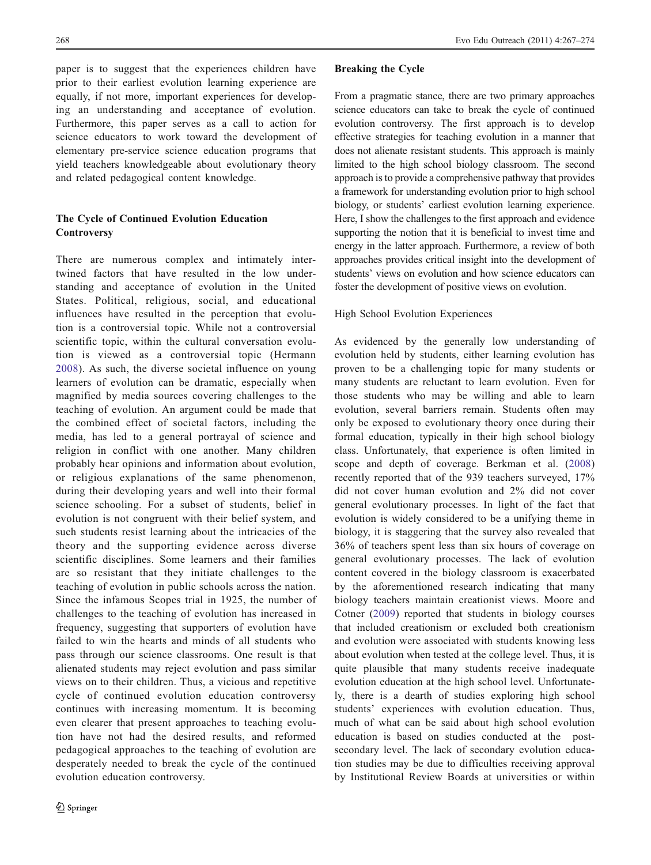268 Evo Edu Outreach (2011) 4:267–274

paper is to suggest that the experiences children have prior to their earliest evolution learning experience are equally, if not more, important experiences for developing an understanding and acceptance of evolution. Furthermore, this paper serves as a call to action for science educators to work toward the development of elementary pre-service science education programs that yield teachers knowledgeable about evolutionary theory and related pedagogical content knowledge.

## The Cycle of Continued Evolution Education **Controversy**

There are numerous complex and intimately intertwined factors that have resulted in the low understanding and acceptance of evolution in the United States. Political, religious, social, and educational influences have resulted in the perception that evolution is a controversial topic. While not a controversial scientific topic, within the cultural conversation evolution is viewed as a controversial topic (Hermann [2008\)](#page-7-0). As such, the diverse societal influence on young learners of evolution can be dramatic, especially when magnified by media sources covering challenges to the teaching of evolution. An argument could be made that the combined effect of societal factors, including the media, has led to a general portrayal of science and religion in conflict with one another. Many children probably hear opinions and information about evolution, or religious explanations of the same phenomenon, during their developing years and well into their formal science schooling. For a subset of students, belief in evolution is not congruent with their belief system, and such students resist learning about the intricacies of the theory and the supporting evidence across diverse scientific disciplines. Some learners and their families are so resistant that they initiate challenges to the teaching of evolution in public schools across the nation. Since the infamous Scopes trial in 1925, the number of challenges to the teaching of evolution has increased in frequency, suggesting that supporters of evolution have failed to win the hearts and minds of all students who pass through our science classrooms. One result is that alienated students may reject evolution and pass similar views on to their children. Thus, a vicious and repetitive cycle of continued evolution education controversy continues with increasing momentum. It is becoming even clearer that present approaches to teaching evolution have not had the desired results, and reformed pedagogical approaches to the teaching of evolution are desperately needed to break the cycle of the continued evolution education controversy.

#### Breaking the Cycle

From a pragmatic stance, there are two primary approaches science educators can take to break the cycle of continued evolution controversy. The first approach is to develop effective strategies for teaching evolution in a manner that does not alienate resistant students. This approach is mainly limited to the high school biology classroom. The second approach is to provide a comprehensive pathway that provides a framework for understanding evolution prior to high school biology, or students' earliest evolution learning experience. Here, I show the challenges to the first approach and evidence supporting the notion that it is beneficial to invest time and energy in the latter approach. Furthermore, a review of both approaches provides critical insight into the development of students' views on evolution and how science educators can foster the development of positive views on evolution.

## High School Evolution Experiences

As evidenced by the generally low understanding of evolution held by students, either learning evolution has proven to be a challenging topic for many students or many students are reluctant to learn evolution. Even for those students who may be willing and able to learn evolution, several barriers remain. Students often may only be exposed to evolutionary theory once during their formal education, typically in their high school biology class. Unfortunately, that experience is often limited in scope and depth of coverage. Berkman et al. ([2008](#page-6-0)) recently reported that of the 939 teachers surveyed, 17% did not cover human evolution and 2% did not cover general evolutionary processes. In light of the fact that evolution is widely considered to be a unifying theme in biology, it is staggering that the survey also revealed that 36% of teachers spent less than six hours of coverage on general evolutionary processes. The lack of evolution content covered in the biology classroom is exacerbated by the aforementioned research indicating that many biology teachers maintain creationist views. Moore and Cotner ([2009\)](#page-7-0) reported that students in biology courses that included creationism or excluded both creationism and evolution were associated with students knowing less about evolution when tested at the college level. Thus, it is quite plausible that many students receive inadequate evolution education at the high school level. Unfortunately, there is a dearth of studies exploring high school students' experiences with evolution education. Thus, much of what can be said about high school evolution education is based on studies conducted at the postsecondary level. The lack of secondary evolution education studies may be due to difficulties receiving approval by Institutional Review Boards at universities or within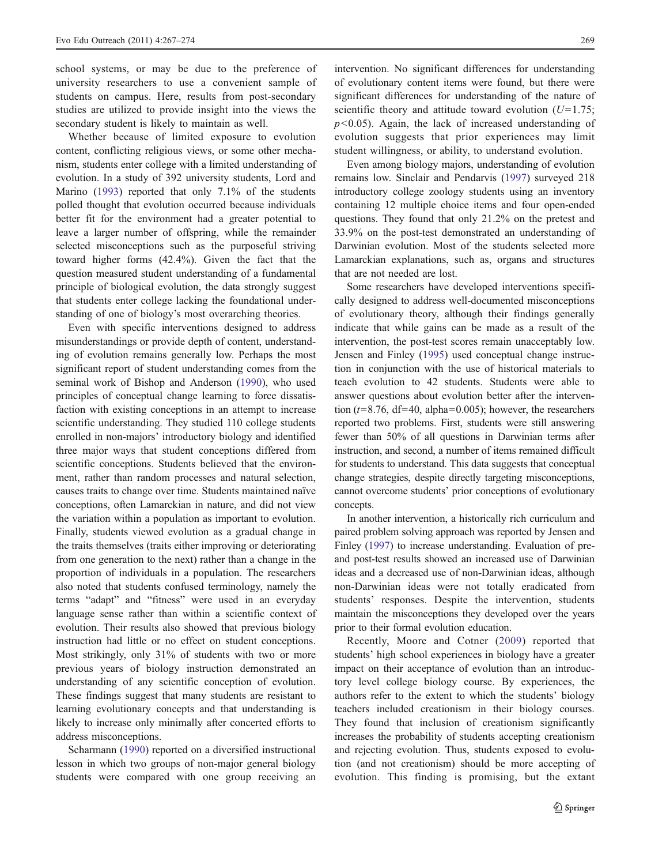school systems, or may be due to the preference of university researchers to use a convenient sample of students on campus. Here, results from post-secondary studies are utilized to provide insight into the views the secondary student is likely to maintain as well.

Whether because of limited exposure to evolution content, conflicting religious views, or some other mechanism, students enter college with a limited understanding of evolution. In a study of 392 university students, Lord and Marino ([1993\)](#page-7-0) reported that only 7.1% of the students polled thought that evolution occurred because individuals better fit for the environment had a greater potential to leave a larger number of offspring, while the remainder selected misconceptions such as the purposeful striving toward higher forms (42.4%). Given the fact that the question measured student understanding of a fundamental principle of biological evolution, the data strongly suggest that students enter college lacking the foundational understanding of one of biology's most overarching theories.

Even with specific interventions designed to address misunderstandings or provide depth of content, understanding of evolution remains generally low. Perhaps the most significant report of student understanding comes from the seminal work of Bishop and Anderson ([1990\)](#page-6-0), who used principles of conceptual change learning to force dissatisfaction with existing conceptions in an attempt to increase scientific understanding. They studied 110 college students enrolled in non-majors' introductory biology and identified three major ways that student conceptions differed from scientific conceptions. Students believed that the environment, rather than random processes and natural selection, causes traits to change over time. Students maintained naïve conceptions, often Lamarckian in nature, and did not view the variation within a population as important to evolution. Finally, students viewed evolution as a gradual change in the traits themselves (traits either improving or deteriorating from one generation to the next) rather than a change in the proportion of individuals in a population. The researchers also noted that students confused terminology, namely the terms "adapt" and "fitness" were used in an everyday language sense rather than within a scientific context of evolution. Their results also showed that previous biology instruction had little or no effect on student conceptions. Most strikingly, only 31% of students with two or more previous years of biology instruction demonstrated an understanding of any scientific conception of evolution. These findings suggest that many students are resistant to learning evolutionary concepts and that understanding is likely to increase only minimally after concerted efforts to address misconceptions.

Scharmann ([1990\)](#page-7-0) reported on a diversified instructional lesson in which two groups of non-major general biology students were compared with one group receiving an intervention. No significant differences for understanding of evolutionary content items were found, but there were significant differences for understanding of the nature of scientific theory and attitude toward evolution  $(U=1.75)$ ;  $p<0.05$ ). Again, the lack of increased understanding of evolution suggests that prior experiences may limit student willingness, or ability, to understand evolution.

Even among biology majors, understanding of evolution remains low. Sinclair and Pendarvis ([1997\)](#page-7-0) surveyed 218 introductory college zoology students using an inventory containing 12 multiple choice items and four open-ended questions. They found that only 21.2% on the pretest and 33.9% on the post-test demonstrated an understanding of Darwinian evolution. Most of the students selected more Lamarckian explanations, such as, organs and structures that are not needed are lost.

Some researchers have developed interventions specifically designed to address well-documented misconceptions of evolutionary theory, although their findings generally indicate that while gains can be made as a result of the intervention, the post-test scores remain unacceptably low. Jensen and Finley ([1995\)](#page-7-0) used conceptual change instruction in conjunction with the use of historical materials to teach evolution to 42 students. Students were able to answer questions about evolution better after the intervention ( $t=8.76$ , df=40, alpha=0.005); however, the researchers reported two problems. First, students were still answering fewer than 50% of all questions in Darwinian terms after instruction, and second, a number of items remained difficult for students to understand. This data suggests that conceptual change strategies, despite directly targeting misconceptions, cannot overcome students' prior conceptions of evolutionary concepts.

In another intervention, a historically rich curriculum and paired problem solving approach was reported by Jensen and Finley [\(1997\)](#page-7-0) to increase understanding. Evaluation of preand post-test results showed an increased use of Darwinian ideas and a decreased use of non-Darwinian ideas, although non-Darwinian ideas were not totally eradicated from students' responses. Despite the intervention, students maintain the misconceptions they developed over the years prior to their formal evolution education.

Recently, Moore and Cotner ([2009\)](#page-7-0) reported that students' high school experiences in biology have a greater impact on their acceptance of evolution than an introductory level college biology course. By experiences, the authors refer to the extent to which the students' biology teachers included creationism in their biology courses. They found that inclusion of creationism significantly increases the probability of students accepting creationism and rejecting evolution. Thus, students exposed to evolution (and not creationism) should be more accepting of evolution. This finding is promising, but the extant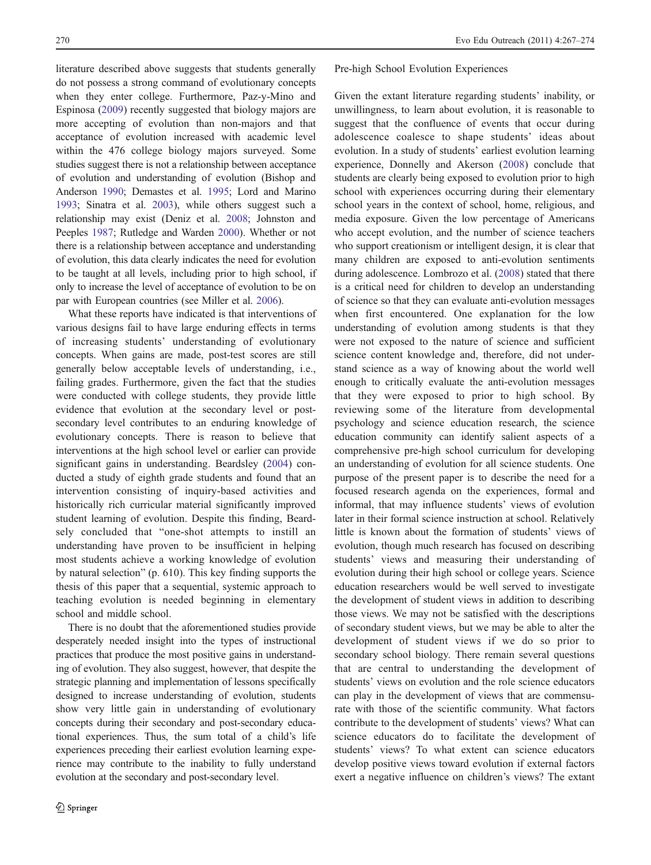literature described above suggests that students generally do not possess a strong command of evolutionary concepts when they enter college. Furthermore, Paz-y-Mino and Espinosa [\(2009\)](#page-7-0) recently suggested that biology majors are more accepting of evolution than non-majors and that acceptance of evolution increased with academic level within the 476 college biology majors surveyed. Some studies suggest there is not a relationship between acceptance of evolution and understanding of evolution (Bishop and Anderson [1990;](#page-6-0) Demastes et al. [1995;](#page-6-0) Lord and Marino [1993;](#page-7-0) Sinatra et al. [2003\)](#page-7-0), while others suggest such a relationship may exist (Deniz et al. [2008;](#page-6-0) Johnston and Peeples [1987;](#page-7-0) Rutledge and Warden [2000](#page-7-0)). Whether or not there is a relationship between acceptance and understanding of evolution, this data clearly indicates the need for evolution to be taught at all levels, including prior to high school, if only to increase the level of acceptance of evolution to be on par with European countries (see Miller et al. [2006](#page-7-0)).

What these reports have indicated is that interventions of various designs fail to have large enduring effects in terms of increasing students' understanding of evolutionary concepts. When gains are made, post-test scores are still generally below acceptable levels of understanding, i.e., failing grades. Furthermore, given the fact that the studies were conducted with college students, they provide little evidence that evolution at the secondary level or postsecondary level contributes to an enduring knowledge of evolutionary concepts. There is reason to believe that interventions at the high school level or earlier can provide significant gains in understanding. Beardsley [\(2004](#page-6-0)) conducted a study of eighth grade students and found that an intervention consisting of inquiry-based activities and historically rich curricular material significantly improved student learning of evolution. Despite this finding, Beardsely concluded that "one-shot attempts to instill an understanding have proven to be insufficient in helping most students achieve a working knowledge of evolution by natural selection" (p. 610). This key finding supports the thesis of this paper that a sequential, systemic approach to teaching evolution is needed beginning in elementary school and middle school.

There is no doubt that the aforementioned studies provide desperately needed insight into the types of instructional practices that produce the most positive gains in understanding of evolution. They also suggest, however, that despite the strategic planning and implementation of lessons specifically designed to increase understanding of evolution, students show very little gain in understanding of evolutionary concepts during their secondary and post-secondary educational experiences. Thus, the sum total of a child's life experiences preceding their earliest evolution learning experience may contribute to the inability to fully understand evolution at the secondary and post-secondary level.

Pre-high School Evolution Experiences

Given the extant literature regarding students' inability, or unwillingness, to learn about evolution, it is reasonable to suggest that the confluence of events that occur during adolescence coalesce to shape students' ideas about evolution. In a study of students' earliest evolution learning experience, Donnelly and Akerson [\(2008](#page-6-0)) conclude that students are clearly being exposed to evolution prior to high school with experiences occurring during their elementary school years in the context of school, home, religious, and media exposure. Given the low percentage of Americans who accept evolution, and the number of science teachers who support creationism or intelligent design, it is clear that many children are exposed to anti-evolution sentiments during adolescence. Lombrozo et al. [\(2008](#page-7-0)) stated that there is a critical need for children to develop an understanding of science so that they can evaluate anti-evolution messages when first encountered. One explanation for the low understanding of evolution among students is that they were not exposed to the nature of science and sufficient science content knowledge and, therefore, did not understand science as a way of knowing about the world well enough to critically evaluate the anti-evolution messages that they were exposed to prior to high school. By reviewing some of the literature from developmental psychology and science education research, the science education community can identify salient aspects of a comprehensive pre-high school curriculum for developing an understanding of evolution for all science students. One purpose of the present paper is to describe the need for a focused research agenda on the experiences, formal and informal, that may influence students' views of evolution later in their formal science instruction at school. Relatively little is known about the formation of students' views of evolution, though much research has focused on describing students' views and measuring their understanding of evolution during their high school or college years. Science education researchers would be well served to investigate the development of student views in addition to describing those views. We may not be satisfied with the descriptions of secondary student views, but we may be able to alter the development of student views if we do so prior to secondary school biology. There remain several questions that are central to understanding the development of students' views on evolution and the role science educators can play in the development of views that are commensurate with those of the scientific community. What factors contribute to the development of students' views? What can science educators do to facilitate the development of students' views? To what extent can science educators develop positive views toward evolution if external factors exert a negative influence on children's views? The extant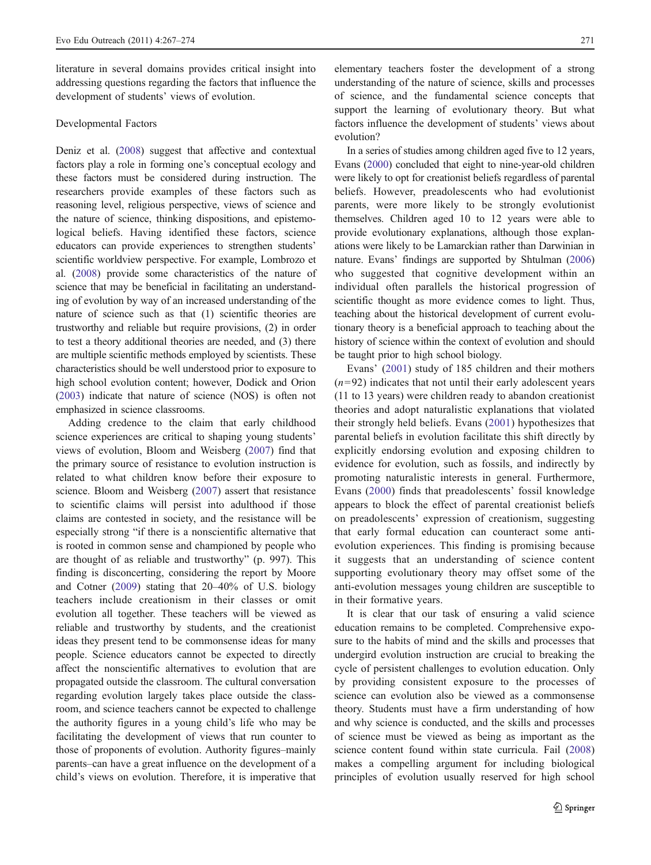literature in several domains provides critical insight into addressing questions regarding the factors that influence the development of students' views of evolution.

## Developmental Factors

Deniz et al. [\(2008\)](#page-6-0) suggest that affective and contextual factors play a role in forming one's conceptual ecology and these factors must be considered during instruction. The researchers provide examples of these factors such as reasoning level, religious perspective, views of science and the nature of science, thinking dispositions, and epistemological beliefs. Having identified these factors, science educators can provide experiences to strengthen students' scientific worldview perspective. For example, Lombrozo et al. [\(2008\)](#page-7-0) provide some characteristics of the nature of science that may be beneficial in facilitating an understanding of evolution by way of an increased understanding of the nature of science such as that (1) scientific theories are trustworthy and reliable but require provisions, (2) in order to test a theory additional theories are needed, and (3) there are multiple scientific methods employed by scientists. These characteristics should be well understood prior to exposure to high school evolution content; however, Dodick and Orion [\(2003\)](#page-6-0) indicate that nature of science (NOS) is often not emphasized in science classrooms.

Adding credence to the claim that early childhood science experiences are critical to shaping young students' views of evolution, Bloom and Weisberg [\(2007](#page-6-0)) find that the primary source of resistance to evolution instruction is related to what children know before their exposure to science. Bloom and Weisberg ([2007\)](#page-6-0) assert that resistance to scientific claims will persist into adulthood if those claims are contested in society, and the resistance will be especially strong "if there is a nonscientific alternative that is rooted in common sense and championed by people who are thought of as reliable and trustworthy" (p. 997). This finding is disconcerting, considering the report by Moore and Cotner ([2009](#page-7-0)) stating that 20–40% of U.S. biology teachers include creationism in their classes or omit evolution all together. These teachers will be viewed as reliable and trustworthy by students, and the creationist ideas they present tend to be commonsense ideas for many people. Science educators cannot be expected to directly affect the nonscientific alternatives to evolution that are propagated outside the classroom. The cultural conversation regarding evolution largely takes place outside the classroom, and science teachers cannot be expected to challenge the authority figures in a young child's life who may be facilitating the development of views that run counter to those of proponents of evolution. Authority figures–mainly parents–can have a great influence on the development of a child's views on evolution. Therefore, it is imperative that elementary teachers foster the development of a strong understanding of the nature of science, skills and processes of science, and the fundamental science concepts that support the learning of evolutionary theory. But what factors influence the development of students' views about evolution?

In a series of studies among children aged five to 12 years, Evans [\(2000\)](#page-6-0) concluded that eight to nine-year-old children were likely to opt for creationist beliefs regardless of parental beliefs. However, preadolescents who had evolutionist parents, were more likely to be strongly evolutionist themselves. Children aged 10 to 12 years were able to provide evolutionary explanations, although those explanations were likely to be Lamarckian rather than Darwinian in nature. Evans' findings are supported by Shtulman [\(2006](#page-7-0)) who suggested that cognitive development within an individual often parallels the historical progression of scientific thought as more evidence comes to light. Thus, teaching about the historical development of current evolutionary theory is a beneficial approach to teaching about the history of science within the context of evolution and should be taught prior to high school biology.

Evans' ([2001](#page-6-0)) study of 185 children and their mothers  $(n=92)$  indicates that not until their early adolescent years (11 to 13 years) were children ready to abandon creationist theories and adopt naturalistic explanations that violated their strongly held beliefs. Evans [\(2001\)](#page-6-0) hypothesizes that parental beliefs in evolution facilitate this shift directly by explicitly endorsing evolution and exposing children to evidence for evolution, such as fossils, and indirectly by promoting naturalistic interests in general. Furthermore, Evans ([2000](#page-6-0)) finds that preadolescents' fossil knowledge appears to block the effect of parental creationist beliefs on preadolescents' expression of creationism, suggesting that early formal education can counteract some antievolution experiences. This finding is promising because it suggests that an understanding of science content supporting evolutionary theory may offset some of the anti-evolution messages young children are susceptible to in their formative years.

It is clear that our task of ensuring a valid science education remains to be completed. Comprehensive exposure to the habits of mind and the skills and processes that undergird evolution instruction are crucial to breaking the cycle of persistent challenges to evolution education. Only by providing consistent exposure to the processes of science can evolution also be viewed as a commonsense theory. Students must have a firm understanding of how and why science is conducted, and the skills and processes of science must be viewed as being as important as the science content found within state curricula. Fail [\(2008](#page-6-0)) makes a compelling argument for including biological principles of evolution usually reserved for high school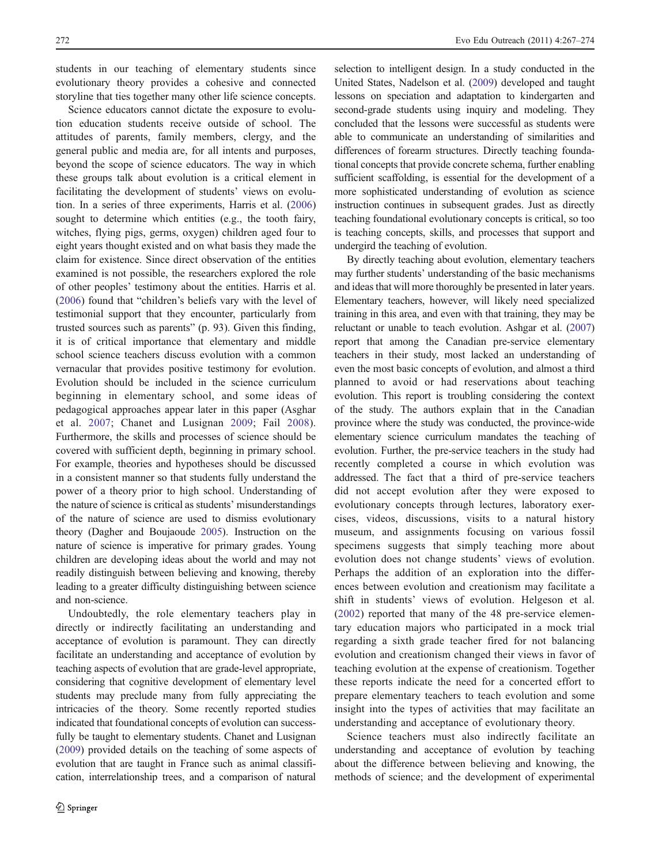students in our teaching of elementary students since evolutionary theory provides a cohesive and connected storyline that ties together many other life science concepts.

Science educators cannot dictate the exposure to evolution education students receive outside of school. The attitudes of parents, family members, clergy, and the general public and media are, for all intents and purposes, beyond the scope of science educators. The way in which these groups talk about evolution is a critical element in facilitating the development of students' views on evolution. In a series of three experiments, Harris et al. ([2006\)](#page-6-0) sought to determine which entities (e.g., the tooth fairy, witches, flying pigs, germs, oxygen) children aged four to eight years thought existed and on what basis they made the claim for existence. Since direct observation of the entities examined is not possible, the researchers explored the role of other peoples' testimony about the entities. Harris et al. [\(2006](#page-6-0)) found that "children's beliefs vary with the level of testimonial support that they encounter, particularly from trusted sources such as parents" (p. 93). Given this finding, it is of critical importance that elementary and middle school science teachers discuss evolution with a common vernacular that provides positive testimony for evolution. Evolution should be included in the science curriculum beginning in elementary school, and some ideas of pedagogical approaches appear later in this paper (Asghar et al. [2007](#page-6-0); Chanet and Lusignan [2009;](#page-6-0) Fail [2008](#page-6-0)). Furthermore, the skills and processes of science should be covered with sufficient depth, beginning in primary school. For example, theories and hypotheses should be discussed in a consistent manner so that students fully understand the power of a theory prior to high school. Understanding of the nature of science is critical as students' misunderstandings of the nature of science are used to dismiss evolutionary theory (Dagher and Boujaoude [2005](#page-6-0)). Instruction on the nature of science is imperative for primary grades. Young children are developing ideas about the world and may not readily distinguish between believing and knowing, thereby leading to a greater difficulty distinguishing between science and non-science.

Undoubtedly, the role elementary teachers play in directly or indirectly facilitating an understanding and acceptance of evolution is paramount. They can directly facilitate an understanding and acceptance of evolution by teaching aspects of evolution that are grade-level appropriate, considering that cognitive development of elementary level students may preclude many from fully appreciating the intricacies of the theory. Some recently reported studies indicated that foundational concepts of evolution can successfully be taught to elementary students. Chanet and Lusignan [\(2009\)](#page-6-0) provided details on the teaching of some aspects of evolution that are taught in France such as animal classification, interrelationship trees, and a comparison of natural selection to intelligent design. In a study conducted in the United States, Nadelson et al. [\(2009\)](#page-7-0) developed and taught lessons on speciation and adaptation to kindergarten and second-grade students using inquiry and modeling. They concluded that the lessons were successful as students were able to communicate an understanding of similarities and differences of forearm structures. Directly teaching foundational concepts that provide concrete schema, further enabling sufficient scaffolding, is essential for the development of a more sophisticated understanding of evolution as science instruction continues in subsequent grades. Just as directly teaching foundational evolutionary concepts is critical, so too is teaching concepts, skills, and processes that support and undergird the teaching of evolution.

By directly teaching about evolution, elementary teachers may further students' understanding of the basic mechanisms and ideas that will more thoroughly be presented in later years. Elementary teachers, however, will likely need specialized training in this area, and even with that training, they may be reluctant or unable to teach evolution. Ashgar et al. [\(2007](#page-6-0)) report that among the Canadian pre-service elementary teachers in their study, most lacked an understanding of even the most basic concepts of evolution, and almost a third planned to avoid or had reservations about teaching evolution. This report is troubling considering the context of the study. The authors explain that in the Canadian province where the study was conducted, the province-wide elementary science curriculum mandates the teaching of evolution. Further, the pre-service teachers in the study had recently completed a course in which evolution was addressed. The fact that a third of pre-service teachers did not accept evolution after they were exposed to evolutionary concepts through lectures, laboratory exercises, videos, discussions, visits to a natural history museum, and assignments focusing on various fossil specimens suggests that simply teaching more about evolution does not change students' views of evolution. Perhaps the addition of an exploration into the differences between evolution and creationism may facilitate a shift in students' views of evolution. Helgeson et al. [\(2002\)](#page-7-0) reported that many of the 48 pre-service elementary education majors who participated in a mock trial regarding a sixth grade teacher fired for not balancing evolution and creationism changed their views in favor of teaching evolution at the expense of creationism. Together these reports indicate the need for a concerted effort to prepare elementary teachers to teach evolution and some insight into the types of activities that may facilitate an understanding and acceptance of evolutionary theory.

Science teachers must also indirectly facilitate an understanding and acceptance of evolution by teaching about the difference between believing and knowing, the methods of science; and the development of experimental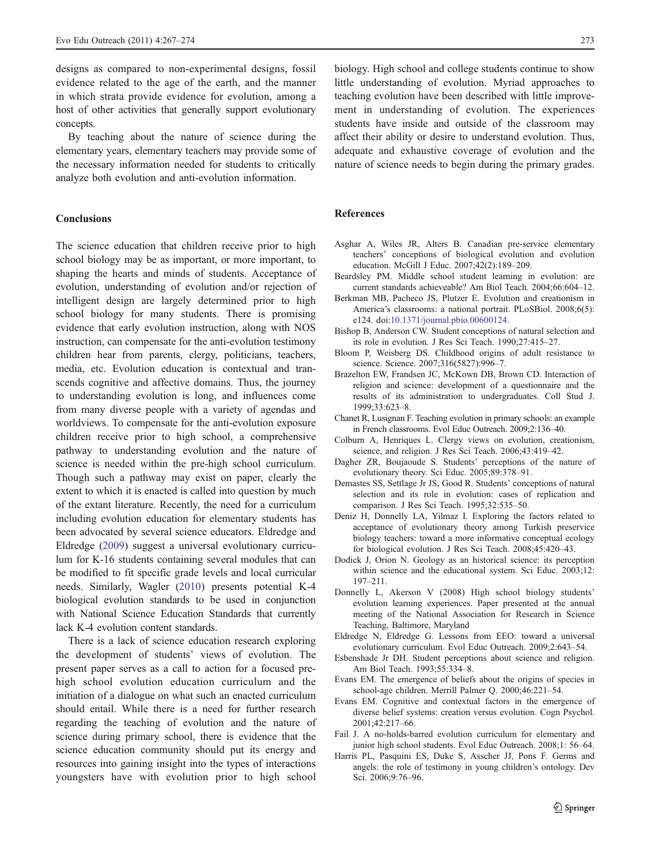<span id="page-6-0"></span>designs as compared to non-experimental designs, fossil evidence related to the age of the earth, and the manner in which strata provide evidence for evolution, among a host of other activities that generally support evolutionary concepts.

By teaching about the nature of science during the elementary years, elementary teachers may provide some of the necessary information needed for students to critically analyze both evolution and anti-evolution information.

#### Conclusions

The science education that children receive prior to high school biology may be as important, or more important, to shaping the hearts and minds of students. Acceptance of evolution, understanding of evolution and/or rejection of intelligent design are largely determined prior to high school biology for many students. There is promising evidence that early evolution instruction, along with NOS instruction, can compensate for the anti-evolution testimony children hear from parents, clergy, politicians, teachers, media, etc. Evolution education is contextual and transcends cognitive and affective domains. Thus, the journey to understanding evolution is long, and influences come from many diverse people with a variety of agendas and worldviews. To compensate for the anti-evolution exposure children receive prior to high school, a comprehensive pathway to understanding evolution and the nature of science is needed within the pre-high school curriculum. Though such a pathway may exist on paper, clearly the extent to which it is enacted is called into question by much of the extant literature. Recently, the need for a curriculum including evolution education for elementary students has been advocated by several science educators. Eldredge and Eldredge (2009) suggest a universal evolutionary curriculum for K-16 students containing several modules that can be modified to fit specific grade levels and local curricular needs. Similarly, Wagler ([2010](#page-7-0)) presents potential K-4 biological evolution standards to be used in conjunction with National Science Education Standards that currently lack K-4 evolution content standards.

There is a lack of science education research exploring the development of students' views of evolution. The present paper serves as a call to action for a focused prehigh school evolution education curriculum and the initiation of a dialogue on what such an enacted curriculum should entail. While there is a need for further research regarding the teaching of evolution and the nature of science during primary school, there is evidence that the science education community should put its energy and resources into gaining insight into the types of interactions youngsters have with evolution prior to high school

biology. High school and college students continue to show little understanding of evolution. Myriad approaches to teaching evolution have been described with little improvement in understanding of evolution. The experiences students have inside and outside of the classroom may affect their ability or desire to understand evolution. Thus, adequate and exhaustive coverage of evolution and the nature of science needs to begin during the primary grades.

### References

- Asghar A, Wiles JR, Alters B. Canadian pre-service elementary teachers' conceptions of biological evolution and evolution education. McGill J Educ. 2007;42(2):189–209.
- Beardsley PM. Middle school student learning in evolution: are current standards achieveable? Am Biol Teach. 2004;66:604–12.
- Berkman MB, Pacheco JS, Plutzer E. Evolution and creationism in America's classrooms: a national portrait. PLoSBiol. 2008;6(5): e124. doi[:10.1371/journal.pbio.00600124](http://dx.doi.org/10.1371/journal.pbio.00600124).
- Bishop B, Anderson CW. Student conceptions of natural selection and its role in evolution. J Res Sci Teach. 1990;27:415–27.
- Bloom P, Weisberg DS. Childhood origins of adult resistance to science. Science. 2007;316(5827):996–7.
- Brazelton EW, Frandsen JC, McKown DB, Brown CD. Interaction of religion and science: development of a questionnaire and the results of its administration to undergraduates. Coll Stud J. 1999;33:623–8.
- Chanet R, Lusignan F. Teaching evolution in primary schools: an example in French classrooms. Evol Educ Outreach. 2009;2:136–40.
- Colburn A, Henriques L. Clergy views on evolution, creationism, science, and religion. J Res Sci Teach. 2006;43:419–42.
- Dagher ZR, Boujaoude S. Students' perceptions of the nature of evolutionary theory. Sci Educ. 2005;89:378–91.
- Demastes SS, Settlage Jr JS, Good R. Students' conceptions of natural selection and its role in evolution: cases of replication and comparison. J Res Sci Teach. 1995;32:535–50.
- Deniz H, Donnelly LA, Yilmaz I. Exploring the factors related to acceptance of evolutionary theory among Turkish preservice biology teachers: toward a more informative conceptual ecology for biological evolution. J Res Sci Teach. 2008;45:420–43.
- Dodick J, Orion N. Geology as an historical science: its perception within science and the educational system. Sci Educ. 2003;12: 197–211.
- Donnelly L, Akerson V (2008) High school biology students' evolution learning experiences. Paper presented at the annual meeting of the National Association for Research in Science Teaching, Baltimore, Maryland
- Eldredge N, Eldredge G. Lessons from EEO: toward a universal evolutionary curriculum. Evol Educ Outreach. 2009;2:643–54.
- Esbenshade Jr DH. Student perceptions about science and religion. Am Biol Teach. 1993;55:334–8.
- Evans EM. The emergence of beliefs about the origins of species in school-age children. Merrill Palmer Q. 2000;46:221–54.
- Evans EM. Cognitive and contextual factors in the emergence of diverse belief systems: creation versus evolution. Cogn Psychol. 2001;42:217–66.
- Fail J. A no-holds-barred evolution curriculum for elementary and junior high school students. Evol Educ Outreach. 2008;1: 56–64.
- Harris PL, Pasquini ES, Duke S, Asscher JJ, Pons F. Germs and angels: the role of testimony in young children's ontology. Dev Sci. 2006;9:76–96.